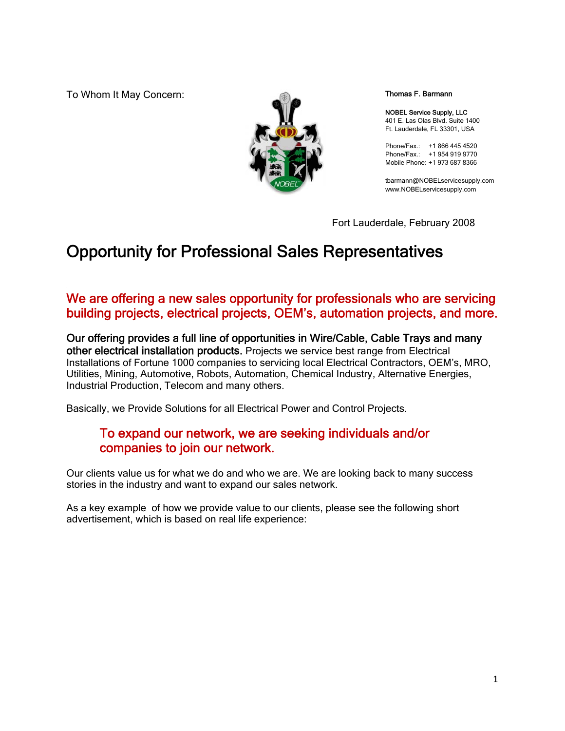To Whom It May Concern:



Thomas F. Barmann

NOBEL Service Supply, LLC 401 E. Las Olas Blvd. Suite 1400 Ft. Lauderdale, FL 33301, USA

Phone/Fax.: +1 866 445 4520 Phone/Fax.: +1 954 919 9770 Mobile Phone: +1 973 687 8366

tbarmann@NOBELservicesupply.com www.NOBELservicesupply.com

Fort Lauderdale, February 2008

## Opportunity for Professional Sales Representatives

#### We are offering a new sales opportunity for professionals who are servicing building projects, electrical projects, OEM's, automation projects, and more.

Our offering provides a full line of opportunities in Wire/Cable, Cable Trays and many other electrical installation products. Projects we service best range from Electrical Installations of Fortune 1000 companies to servicing local Electrical Contractors, OEM's, MRO, Utilities, Mining, Automotive, Robots, Automation, Chemical Industry, Alternative Energies, Industrial Production, Telecom and many others.

Basically, we Provide Solutions for all Electrical Power and Control Projects.

#### To expand our network, we are seeking individuals and/or companies to join our network.

Our clients value us for what we do and who we are. We are looking back to many success stories in the industry and want to expand our sales network.

As a key example of how we provide value to our clients, please see the following short advertisement, which is based on real life experience: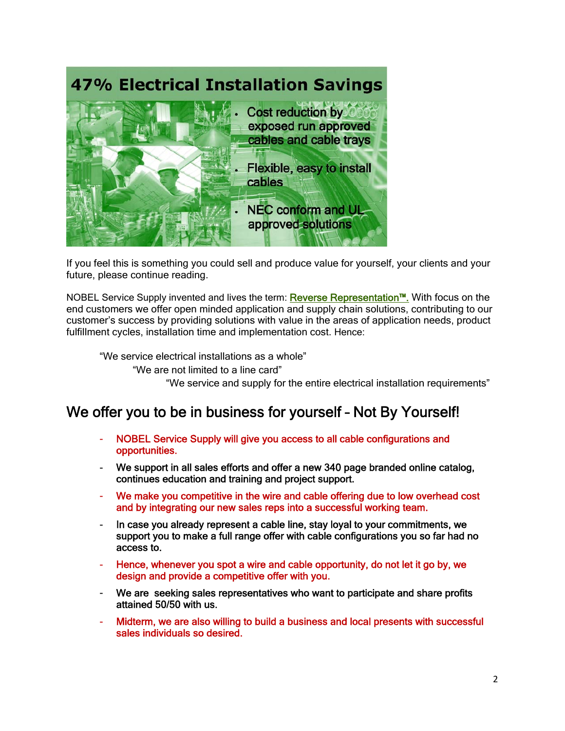

If you feel this is something you could sell and produce value for yourself, your clients and your future, please continue reading.

NOBEL Service Supply invented and lives the term: Reverse Representation™. With focus on the end customers we offer open minded application and supply chain solutions, contributing to our customer's success by providing solutions with value in the areas of application needs, product fulfillment cycles, installation time and implementation cost. Hence:

"We service electrical installations as a whole"

"We are not limited to a line card"

"We service and supply for the entire electrical installation requirements"

### We offer you to be in business for yourself – Not By Yourself!

- NOBEL Service Supply will give you access to all cable configurations and opportunities.
- We support in all sales efforts and offer a new 340 page branded online catalog, continues education and training and project support.
- We make you competitive in the wire and cable offering due to low overhead cost and by integrating our new sales reps into a successful working team.
- In case you already represent a cable line, stay loyal to your commitments, we support you to make a full range offer with cable configurations you so far had no access to.
- Hence, whenever you spot a wire and cable opportunity, do not let it go by, we design and provide a competitive offer with you.
- We are seeking sales representatives who want to participate and share profits attained 50/50 with us.
- Midterm, we are also willing to build a business and local presents with successful sales individuals so desired.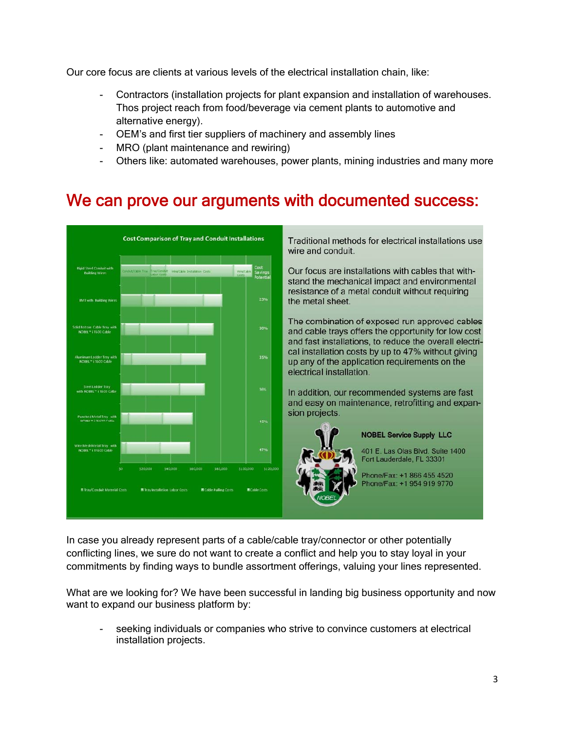Our core focus are clients at various levels of the electrical installation chain, like:

- Contractors (installation projects for plant expansion and installation of warehouses. Thos project reach from food/beverage via cement plants to automotive and alternative energy).
- OEM's and first tier suppliers of machinery and assembly lines
- MRO (plant maintenance and rewiring)
- Others like: automated warehouses, power plants, mining industries and many more

## We can prove our arguments with documented success:



Traditional methods for electrical installations use wire and conduit.

Our focus are installations with cables that withstand the mechanical impact and environmental resistance of a metal conduit without requiring

The combination of exposed run approved cables and cable trays offers the opportunity for low cost and fast installations, to reduce the overall electrical installation costs by up to 47% without giving up any of the application requirements on the electrical installation.

In addition, our recommended systems are fast and easy on maintenance, retrofitting and expan-



#### **NOBEL Service Supply LLC**

401 E. Las Olas Blvd. Suite 1400 Fort Lauderdale, FL 33301

Phone/Fax: +1 866 455 4520 Phone/Fax: +1 954 919 9770

In case you already represent parts of a cable/cable tray/connector or other potentially conflicting lines, we sure do not want to create a conflict and help you to stay loyal in your commitments by finding ways to bundle assortment offerings, valuing your lines represented.

What are we looking for? We have been successful in landing big business opportunity and now want to expand our business platform by:

seeking individuals or companies who strive to convince customers at electrical installation projects.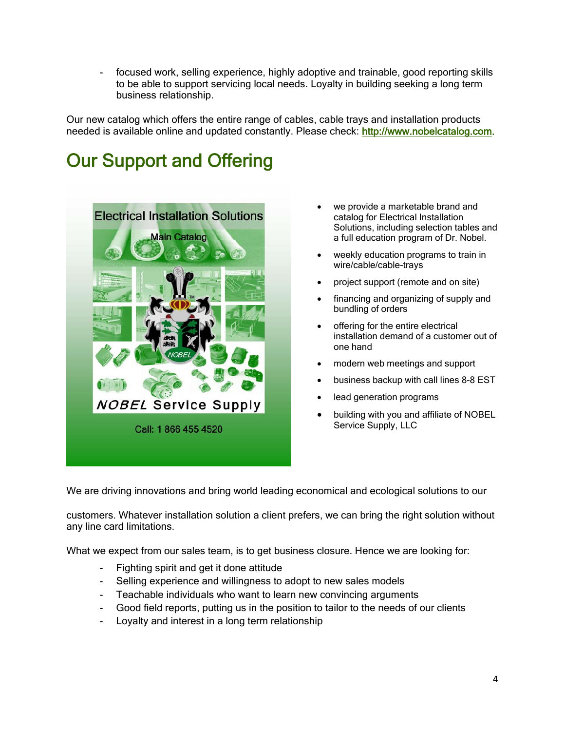- focused work, selling experience, highly adoptive and trainable, good reporting skills to be able to support servicing local needs. Loyalty in building seeking a long term business relationship.

Our new catalog which offers the entire range of cables, cable trays and installation products needed is available online and updated constantly. Please check: http://www.nobelcatalog.com.

# Our Support and Offering



- we provide a marketable brand and catalog for Electrical Installation Solutions, including selection tables and a full education program of Dr. Nobel.
- weekly education programs to train in wire/cable/cable-trays
- project support (remote and on site)
- financing and organizing of supply and bundling of orders
- offering for the entire electrical installation demand of a customer out of one hand
- modern web meetings and support
- business backup with call lines 8-8 EST
- lead generation programs
- building with you and affiliate of NOBEL Service Supply, LLC

We are driving innovations and bring world leading economical and ecological solutions to our

customers. Whatever installation solution a client prefers, we can bring the right solution without any line card limitations.

What we expect from our sales team, is to get business closure. Hence we are looking for:

- Fighting spirit and get it done attitude
- Selling experience and willingness to adopt to new sales models
- Teachable individuals who want to learn new convincing arguments
- Good field reports, putting us in the position to tailor to the needs of our clients
- Loyalty and interest in a long term relationship